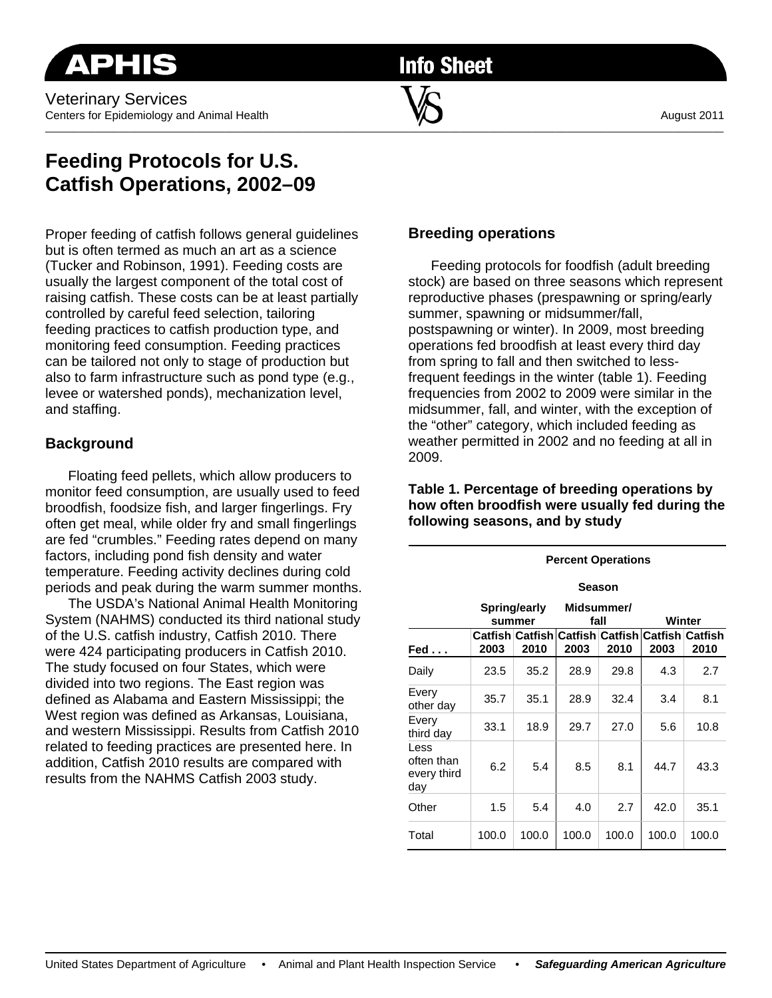**Info Sheet** 

\_\_\_\_\_\_\_\_\_\_\_\_\_\_\_\_\_\_\_\_\_\_\_\_\_\_\_\_\_\_\_\_\_\_\_\_\_\_\_\_\_\_\_\_\_\_\_\_\_\_\_\_\_\_\_\_\_\_\_\_\_\_\_\_\_\_\_\_\_\_\_\_\_\_\_\_\_\_\_\_\_\_\_\_\_\_\_\_\_\_\_\_\_\_\_\_\_\_\_\_\_\_\_\_\_\_\_\_\_\_\_\_\_\_\_\_\_\_\_\_\_

# **Feeding Protocols for U.S. Catfish Operations, 2002–09**

Proper feeding of catfish follows general guidelines but is often termed as much an art as a science (Tucker and Robinson, 1991). Feeding costs are usually the largest component of the total cost of raising catfish. These costs can be at least partially controlled by careful feed selection, tailoring feeding practices to catfish production type, and monitoring feed consumption. Feeding practices can be tailored not only to stage of production but also to farm infrastructure such as pond type (e.g., levee or watershed ponds), mechanization level, and staffing.

# **Background**

Floating feed pellets, which allow producers to monitor feed consumption, are usually used to feed broodfish, foodsize fish, and larger fingerlings. Fry often get meal, while older fry and small fingerlings are fed "crumbles." Feeding rates depend on many factors, including pond fish density and water temperature. Feeding activity declines during cold periods and peak during the warm summer months.

 The USDA's National Animal Health Monitoring System (NAHMS) conducted its third national study of the U.S. catfish industry, Catfish 2010. There were 424 participating producers in Catfish 2010. The study focused on four States, which were divided into two regions. The East region was defined as Alabama and Eastern Mississippi; the West region was defined as Arkansas, Louisiana, and western Mississippi. Results from Catfish 2010 related to feeding practices are presented here. In addition, Catfish 2010 results are compared with results from the NAHMS Catfish 2003 study.

# **Breeding operations**

Feeding protocols for foodfish (adult breeding stock) are based on three seasons which represent reproductive phases (prespawning or spring/early summer, spawning or midsummer/fall, postspawning or winter). In 2009, most breeding operations fed broodfish at least every third day from spring to fall and then switched to lessfrequent feedings in the winter (table 1). Feeding frequencies from 2002 to 2009 were similar in the midsummer, fall, and winter, with the exception of the "other" category, which included feeding as weather permitted in 2002 and no feeding at all in 2009.

|                                          | <b>Percent Operations</b> |       |                    |                                                         |        |       |
|------------------------------------------|---------------------------|-------|--------------------|---------------------------------------------------------|--------|-------|
|                                          | Season                    |       |                    |                                                         |        |       |
|                                          | Spring/early<br>summer    |       | Midsummer/<br>fall |                                                         | Winter |       |
| $\mathsf{Fed} \dots$                     | 2003                      | 2010  | 2003               | Catfish Catfish Catfish Catfish Catfish Catfish<br>2010 | 2003   | 2010  |
| Daily                                    | 23.5                      | 35.2  | 28.9               | 29.8                                                    | 4.3    | 2.7   |
| Every<br>other day                       | 35.7                      | 35.1  | 28.9               | 32.4                                                    | 3.4    | 8.1   |
| Every<br>third day                       | 33.1                      | 18.9  | 29.7               | 27.0                                                    | 5.6    | 10.8  |
| Less<br>often than<br>every third<br>day | 6.2                       | 5.4   | 8.5                | 8.1                                                     | 44.7   | 43.3  |
| Other                                    | 1.5                       | 5.4   | 4.0                | 2.7                                                     | 42.0   | 35.1  |
| Total                                    | 100.0                     | 100.0 | 100.0              | 100.0                                                   | 100.0  | 100.0 |

### **Table 1. Percentage of breeding operations by how often broodfish were usually fed during the following seasons, and by study**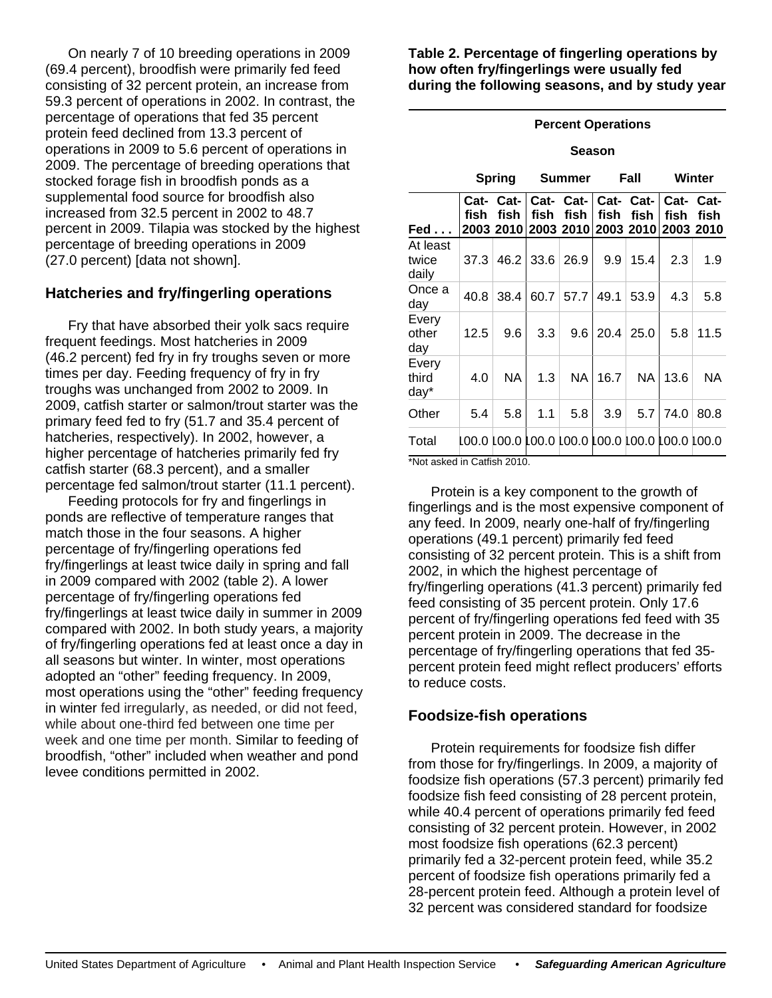On nearly 7 of 10 breeding operations in 2009 (69.4 percent), broodfish were primarily fed feed consisting of 32 percent protein, an increase from 59.3 percent of operations in 2002. In contrast, the percentage of operations that fed 35 percent protein feed declined from 13.3 percent of operations in 2009 to 5.6 percent of operations in 2009. The percentage of breeding operations that stocked forage fish in broodfish ponds as a supplemental food source for broodfish also increased from 32.5 percent in 2002 to 48.7 percent in 2009. Tilapia was stocked by the highest percentage of breeding operations in 2009 (27.0 percent) [data not shown].

## **Hatcheries and fry/fingerling operations**

Fry that have absorbed their yolk sacs require frequent feedings. Most hatcheries in 2009 (46.2 percent) fed fry in fry troughs seven or more times per day. Feeding frequency of fry in fry troughs was unchanged from 2002 to 2009. In 2009, catfish starter or salmon/trout starter was the primary feed fed to fry (51.7 and 35.4 percent of hatcheries, respectively). In 2002, however, a higher percentage of hatcheries primarily fed fry catfish starter (68.3 percent), and a smaller percentage fed salmon/trout starter (11.1 percent).

 Feeding protocols for fry and fingerlings in ponds are reflective of temperature ranges that match those in the four seasons. A higher percentage of fry/fingerling operations fed fry/fingerlings at least twice daily in spring and fall in 2009 compared with 2002 (table 2). A lower percentage of fry/fingerling operations fed fry/fingerlings at least twice daily in summer in 2009 compared with 2002. In both study years, a majority of fry/fingerling operations fed at least once a day in all seasons but winter. In winter, most operations adopted an "other" feeding frequency. In 2009, most operations using the "other" feeding frequency in winter fed irregularly, as needed, or did not feed, while about one-third fed between one time per week and one time per month. Similar to feeding of broodfish, "other" included when weather and pond levee conditions permitted in 2002.

**Table 2. Percentage of fingerling operations by how often fry/fingerlings were usually fed during the following seasons, and by study year**

### **Percent Operations**

#### **Season**

|                            | <b>Spring</b> |                                                             | <b>Summer</b> |                             | Fall |           | Winter            |      |
|----------------------------|---------------|-------------------------------------------------------------|---------------|-----------------------------|------|-----------|-------------------|------|
| $\mathsf{Fed} \dots$       | fish          | Cat-Cat-<br>fish<br>2003 2010 2003 2010 2003 2010 2003 2010 | fish          | Cat- Cat- Cat- Cat-<br>fish | fish | fish      | Cat- Cat-<br>fish | fish |
| At least<br>twice<br>daily | 37.3          | 46.2                                                        |               | $33.6 \mid 26.9$            | 9.9  | 15.4      | 2.3               | 1.9  |
| Once a<br>day              | 40.8          | 38.4                                                        | 60.7          | 57.7                        | 49.1 | 53.9      | 4.3               | 5.8  |
| Every<br>other<br>day      | 12.5          | 9.6                                                         | 3.3           | 9.6                         | 20.4 | 25.0      | 5.8               | 11.5 |
| Every<br>third<br>day*     | 4.0           | <b>NA</b>                                                   | 1.3           | <b>NA</b>                   | 16.7 | <b>NA</b> | 13.6              | NA   |
| Other                      | 5.4           | 5.8                                                         | 1.1           | 5.8                         | 3.9  | 5.7       | 74.0              | 80.8 |
| Total                      |               | 00.0   00.0   00.0   00.0   00.0   00.0   00.0   00.0       |               |                             |      |           |                   |      |

\*Not asked in Catfish 2010.

 Protein is a key component to the growth of fingerlings and is the most expensive component of any feed. In 2009, nearly one-half of fry/fingerling operations (49.1 percent) primarily fed feed consisting of 32 percent protein. This is a shift from 2002, in which the highest percentage of fry/fingerling operations (41.3 percent) primarily fed feed consisting of 35 percent protein. Only 17.6 percent of fry/fingerling operations fed feed with 35 percent protein in 2009. The decrease in the percentage of fry/fingerling operations that fed 35 percent protein feed might reflect producers' efforts to reduce costs.

## **Foodsize-fish operations**

Protein requirements for foodsize fish differ from those for fry/fingerlings. In 2009, a majority of foodsize fish operations (57.3 percent) primarily fed foodsize fish feed consisting of 28 percent protein, while 40.4 percent of operations primarily fed feed consisting of 32 percent protein. However, in 2002 most foodsize fish operations (62.3 percent) primarily fed a 32-percent protein feed, while 35.2 percent of foodsize fish operations primarily fed a 28-percent protein feed. Although a protein level of 32 percent was considered standard for foodsize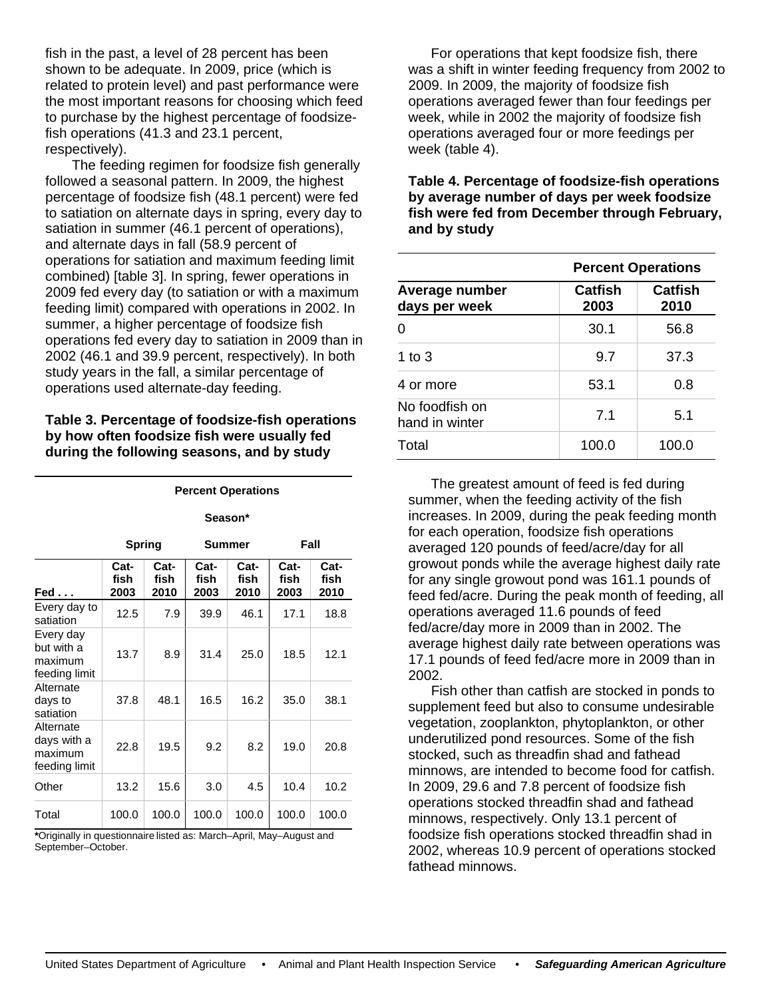fish in the past, a level of 28 percent has been shown to be adequate. In 2009, price (which is related to protein level) and past performance were the most important reasons for choosing which feed to purchase by the highest percentage of foodsizefish operations (41.3 and 23.1 percent, respectively).

 The feeding regimen for foodsize fish generally followed a seasonal pattern. In 2009, the highest percentage of foodsize fish (48.1 percent) were fed to satiation on alternate days in spring, every day to satiation in summer (46.1 percent of operations), and alternate days in fall (58.9 percent of operations for satiation and maximum feeding limit combined) [table 3]. In spring, fewer operations in 2009 fed every day (to satiation or with a maximum feeding limit) compared with operations in 2002. In summer, a higher percentage of foodsize fish operations fed every day to satiation in 2009 than in 2002 (46.1 and 39.9 percent, respectively). In both study years in the fall, a similar percentage of operations used alternate-day feeding.

### **Table 3. Percentage of foodsize-fish operations by how often foodsize fish were usually fed during the following seasons, and by study**

**Percent Operations** 

|                                                      | Season*              |                      |                      |                      |                      |                      |
|------------------------------------------------------|----------------------|----------------------|----------------------|----------------------|----------------------|----------------------|
|                                                      | <b>Spring</b>        |                      | Summer               |                      | Fall                 |                      |
| Fed                                                  | Cat-<br>fish<br>2003 | Cat-<br>fish<br>2010 | Cat-<br>fish<br>2003 | Cat-<br>fish<br>2010 | Cat-<br>fish<br>2003 | Cat-<br>fish<br>2010 |
| Every day to<br>satiation                            | 12.5                 | 7.9                  | 39.9                 | 46.1                 | 17.1                 | 18.8                 |
| Every day<br>but with a<br>maximum<br>feeding limit  | 13.7                 | 8.9                  | 31.4                 | 25.0                 | 18.5                 | 12.1                 |
| Alternate<br>days to<br>satiation                    | 37.8                 | 48.1                 | 16.5                 | 16.2                 | 35.0                 | 38.1                 |
| Alternate<br>days with a<br>maximum<br>feeding limit | 22.8                 | 19.5                 | 9.2                  | 8.2                  | 19.0                 | 20.8                 |
| Other                                                | 13.2                 | 15.6                 | 3.0                  | 4.5                  | 10.4                 | 10.2                 |
| Total                                                | 100.0                | 100.0                | 100.0                | 100.0                | 100.0                | 100.0                |

**\***Originally in questionnaire listed as: March–April, May–August and September–October.

For operations that kept foodsize fish, there was a shift in winter feeding frequency from 2002 to 2009. In 2009, the majority of foodsize fish operations averaged fewer than four feedings per week, while in 2002 the majority of foodsize fish operations averaged four or more feedings per week (table 4).

**Table 4. Percentage of foodsize-fish operations by average number of days per week foodsize fish were fed from December through February, and by study** 

|                                  | <b>Percent Operations</b> |                        |  |  |  |
|----------------------------------|---------------------------|------------------------|--|--|--|
| Average number<br>days per week  | <b>Catfish</b><br>2003    | <b>Catfish</b><br>2010 |  |  |  |
| 0                                | 30.1                      | 56.8                   |  |  |  |
| 1 to $3$                         | 9.7                       | 37.3                   |  |  |  |
| 4 or more                        | 53.1                      | 0.8                    |  |  |  |
| No foodfish on<br>hand in winter | 7.1                       | 5.1                    |  |  |  |
| Total                            | 100.0                     | 100.0                  |  |  |  |

The greatest amount of feed is fed during summer, when the feeding activity of the fish increases. In 2009, during the peak feeding month for each operation, foodsize fish operations averaged 120 pounds of feed/acre/day for all growout ponds while the average highest daily rate for any single growout pond was 161.1 pounds of feed fed/acre. During the peak month of feeding, all operations averaged 11.6 pounds of feed fed/acre/day more in 2009 than in 2002. The average highest daily rate between operations was 17.1 pounds of feed fed/acre more in 2009 than in 2002.

 Fish other than catfish are stocked in ponds to supplement feed but also to consume undesirable vegetation, zooplankton, phytoplankton, or other underutilized pond resources. Some of the fish stocked, such as threadfin shad and fathead minnows, are intended to become food for catfish. In 2009, 29.6 and 7.8 percent of foodsize fish operations stocked threadfin shad and fathead minnows, respectively. Only 13.1 percent of foodsize fish operations stocked threadfin shad in 2002, whereas 10.9 percent of operations stocked fathead minnows.